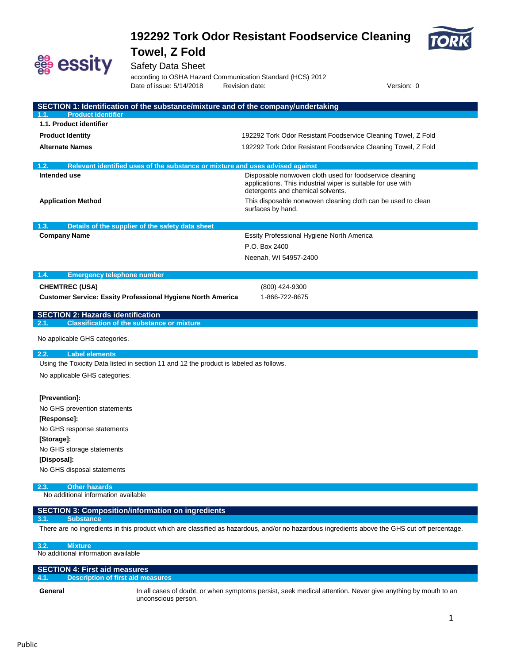



Safety Data Sheet

according to OSHA Hazard Communication Standard (HCS) 2012 Date of issue: 5/14/2018 Revision date: Version: 0

| SECTION 1: Identification of the substance/mixture and of the company/undertaking                     |                                                                                                                                               |
|-------------------------------------------------------------------------------------------------------|-----------------------------------------------------------------------------------------------------------------------------------------------|
| <b>Product identifier</b><br>1.1.                                                                     |                                                                                                                                               |
| 1.1. Product identifier                                                                               |                                                                                                                                               |
| <b>Product Identity</b>                                                                               | 192292 Tork Odor Resistant Foodservice Cleaning Towel, Z Fold                                                                                 |
| <b>Alternate Names</b>                                                                                | 192292 Tork Odor Resistant Foodservice Cleaning Towel, Z Fold                                                                                 |
|                                                                                                       |                                                                                                                                               |
| Relevant identified uses of the substance or mixture and uses advised against<br>1.2.<br>Intended use | Disposable nonwoven cloth used for foodservice cleaning                                                                                       |
|                                                                                                       | applications. This industrial wiper is suitable for use with<br>detergents and chemical solvents.                                             |
| <b>Application Method</b>                                                                             | This disposable nonwoven cleaning cloth can be used to clean<br>surfaces by hand.                                                             |
| Details of the supplier of the safety data sheet<br>1.3.                                              |                                                                                                                                               |
| <b>Company Name</b>                                                                                   | Essity Professional Hygiene North America                                                                                                     |
|                                                                                                       | P.O. Box 2400                                                                                                                                 |
|                                                                                                       | Neenah, WI 54957-2400                                                                                                                         |
|                                                                                                       |                                                                                                                                               |
| 1.4.<br><b>Emergency telephone number</b>                                                             |                                                                                                                                               |
| <b>CHEMTREC (USA)</b>                                                                                 | (800) 424-9300                                                                                                                                |
| <b>Customer Service: Essity Professional Hygiene North America</b>                                    | 1-866-722-8675                                                                                                                                |
| <b>SECTION 2: Hazards identification</b>                                                              |                                                                                                                                               |
| <b>Classification of the substance or mixture</b><br>2.1.                                             |                                                                                                                                               |
| No applicable GHS categories.                                                                         |                                                                                                                                               |
| <b>Label elements</b><br>2.2.                                                                         |                                                                                                                                               |
| Using the Toxicity Data listed in section 11 and 12 the product is labeled as follows.                |                                                                                                                                               |
| No applicable GHS categories.                                                                         |                                                                                                                                               |
|                                                                                                       |                                                                                                                                               |
| [Prevention]:                                                                                         |                                                                                                                                               |
| No GHS prevention statements                                                                          |                                                                                                                                               |
| [Response]:                                                                                           |                                                                                                                                               |
| No GHS response statements                                                                            |                                                                                                                                               |
| [Storage]:                                                                                            |                                                                                                                                               |
| No GHS storage statements                                                                             |                                                                                                                                               |
| [Disposal]:                                                                                           |                                                                                                                                               |
| No GHS disposal statements                                                                            |                                                                                                                                               |
| 2.3.<br><b>Other hazards</b>                                                                          |                                                                                                                                               |
| No additional information available                                                                   |                                                                                                                                               |
| <b>SECTION 3: Composition/information on ingredients</b><br><b>Substance</b><br>3.1                   |                                                                                                                                               |
|                                                                                                       | There are no ingredients in this product which are classified as hazardous, and/or no hazardous ingredients above the GHS cut off percentage. |
| 3.2.<br><b>Mixture</b>                                                                                |                                                                                                                                               |
| No additional information available                                                                   |                                                                                                                                               |

| <b>SECTION 4: First aid measures</b>             |                                                                                                             |  |  |
|--------------------------------------------------|-------------------------------------------------------------------------------------------------------------|--|--|
| <b>Description of first aid measures</b><br>4.1. |                                                                                                             |  |  |
| General                                          | In all cases of doubt, or when symptoms persist, seek medical attention. Never give anything by mouth to an |  |  |

unconscious person.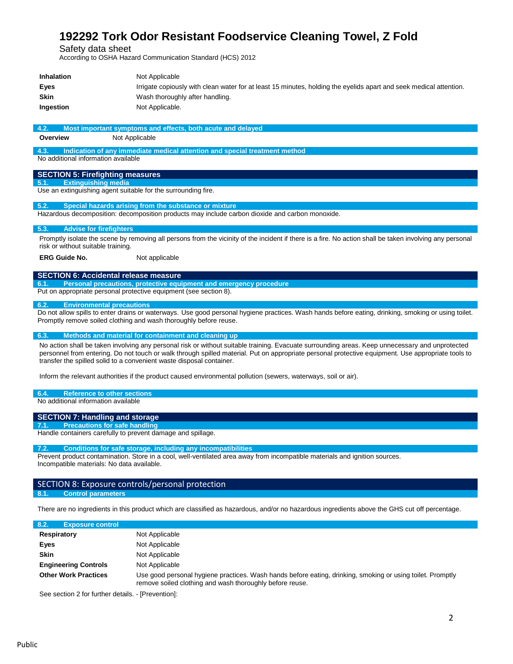Safety data sheet

According to OSHA Hazard Communication Standard (HCS) 2012

| <b>Inhalation</b> | Not Applicable                                                                                                     |
|-------------------|--------------------------------------------------------------------------------------------------------------------|
| Eves              | Irrigate copiously with clean water for at least 15 minutes, holding the eyelids apart and seek medical attention. |
| Skin              | Wash thoroughly after handling.                                                                                    |
| Ingestion         | Not Applicable.                                                                                                    |

#### **4.2. Most important symptoms and effects, both acute and delayed**

**Overview** Not Applicable

**4.3. Indication of any immediate medical attention and special treatment method**

No additional information available

#### **SECTION 5: Firefighting measures**

**5.1. Extinguishing media**

Use an extinguishing agent suitable for the surrounding fire.

#### **5.2. Special hazards arising from the substance or mixture**

Hazardous decomposition: decomposition products may include carbon dioxide and carbon monoxide.

#### **5.3. Advise for firefighters**

Promptly isolate the scene by removing all persons from the vicinity of the incident if there is a fire. No action shall be taken involving any personal risk or without suitable training.

**ERG Guide No.** Not applicable

#### **SECTION 6: Accidental release measure**

**6.1. Personal precautions, protective equipment and emergency procedure**

Put on appropriate personal protective equipment (see section 8).

#### **6.2. Environmental precautions**

Do not allow spills to enter drains or waterways. Use good personal hygiene practices. Wash hands before eating, drinking, smoking or using toilet. Promptly remove soiled clothing and wash thoroughly before reuse.

#### **6.3. Methods and material for containment and cleaning up**

No action shall be taken involving any personal risk or without suitable training. Evacuate surrounding areas. Keep unnecessary and unprotected personnel from entering. Do not touch or walk through spilled material. Put on appropriate personal protective equipment. Use appropriate tools to transfer the spilled solid to a convenient waste disposal container.

Inform the relevant authorities if the product caused environmental pollution (sewers, waterways, soil or air).

#### **6.4. Reference to other sections**

No additional information available

#### **SECTION 7: Handling and storage**

**7.1. Precautions for safe handling** Handle containers carefully to prevent damage and spillage.

#### **7.2. Conditions for safe storage, including any incompatibilities**

Prevent product contamination. Store in a cool, well-ventilated area away from incompatible materials and ignition sources. Incompatible materials: No data available.

#### SECTION 8: Exposure controls/personal protection

#### **8.1. Control parameters**

There are no ingredients in this product which are classified as hazardous, and/or no hazardous ingredients above the GHS cut off percentage.

| 8.2.<br><b>Exposure control</b> |                                                                                                                                                                        |
|---------------------------------|------------------------------------------------------------------------------------------------------------------------------------------------------------------------|
| Respiratory                     | Not Applicable                                                                                                                                                         |
| Eyes                            | Not Applicable                                                                                                                                                         |
| <b>Skin</b>                     | Not Applicable                                                                                                                                                         |
| <b>Engineering Controls</b>     | Not Applicable                                                                                                                                                         |
| <b>Other Work Practices</b>     | Use good personal hygiene practices. Wash hands before eating, drinking, smoking or using toilet. Promptly<br>remove soiled clothing and wash thoroughly before reuse. |

See section 2 for further details. - [Prevention]: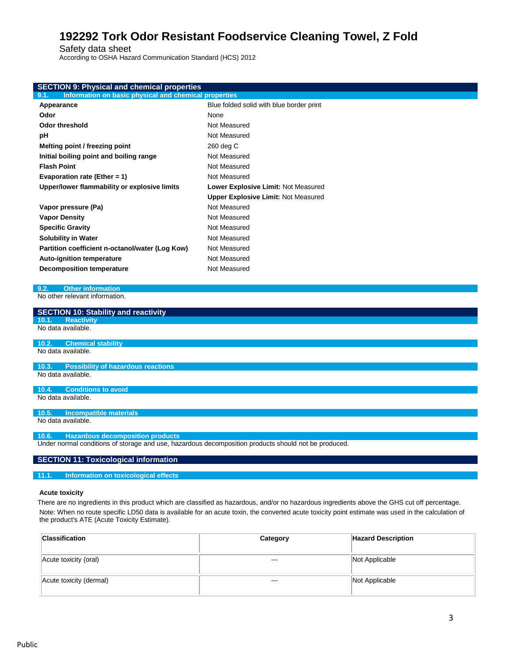Safety data sheet

According to OSHA Hazard Communication Standard (HCS) 2012

| <b>SECTION 9: Physical and chemical properties</b>                                                   |                                            |  |
|------------------------------------------------------------------------------------------------------|--------------------------------------------|--|
| Information on basic physical and chemical properties<br>9.1.                                        |                                            |  |
| Appearance                                                                                           | Blue folded solid with blue border print   |  |
| Odor                                                                                                 | None                                       |  |
| <b>Odor threshold</b>                                                                                | Not Measured                               |  |
| рH                                                                                                   | Not Measured                               |  |
| Melting point / freezing point                                                                       | 260 deg C                                  |  |
| Initial boiling point and boiling range                                                              | Not Measured                               |  |
| <b>Flash Point</b>                                                                                   | Not Measured                               |  |
| Evaporation rate (Ether = 1)                                                                         | Not Measured                               |  |
| Upper/lower flammability or explosive limits                                                         | Lower Explosive Limit: Not Measured        |  |
|                                                                                                      | <b>Upper Explosive Limit: Not Measured</b> |  |
| Vapor pressure (Pa)                                                                                  | Not Measured                               |  |
| <b>Vapor Density</b>                                                                                 | Not Measured                               |  |
| <b>Specific Gravity</b>                                                                              | Not Measured                               |  |
| <b>Solubility in Water</b>                                                                           | Not Measured                               |  |
| Partition coefficient n-octanol/water (Log Kow)                                                      | Not Measured                               |  |
| Auto-ignition temperature                                                                            | Not Measured                               |  |
| <b>Decomposition temperature</b>                                                                     | Not Measured                               |  |
|                                                                                                      |                                            |  |
| <b>Other information</b><br>9.2.                                                                     |                                            |  |
| No other relevant information.                                                                       |                                            |  |
| <b>SECTION 10: Stability and reactivity</b>                                                          |                                            |  |
| <b>Reactivity</b><br>10.1.                                                                           |                                            |  |
| No data available.                                                                                   |                                            |  |
| 10.2.<br><b>Chemical stability</b>                                                                   |                                            |  |
| No data available.                                                                                   |                                            |  |
| <b>Possibility of hazardous reactions</b><br>10.3.                                                   |                                            |  |
| No data available.                                                                                   |                                            |  |
|                                                                                                      |                                            |  |
| <b>Conditions to avoid</b><br>10.4.<br>No data available.                                            |                                            |  |
|                                                                                                      |                                            |  |
| <b>Incompatible materials</b><br>10.5.                                                               |                                            |  |
| No data available.                                                                                   |                                            |  |
| <b>Hazardous decomposition products</b><br>10.6.                                                     |                                            |  |
| Under normal conditions of storage and use, hazardous decomposition products should not be produced. |                                            |  |
|                                                                                                      |                                            |  |
| <b>SECTION 11: Toxicological information</b>                                                         |                                            |  |

**11.1. Information on toxicological effects**

#### **Acute toxicity**

There are no ingredients in this product which are classified as hazardous, and/or no hazardous ingredients above the GHS cut off percentage. Note: When no route specific LD50 data is available for an acute toxin, the converted acute toxicity point estimate was used in the calculation of the product's ATE (Acute Toxicity Estimate).

| <b>Classification</b>   | Category | <b>Hazard Description</b> |
|-------------------------|----------|---------------------------|
| Acute toxicity (oral)   | $--$     | Not Applicable            |
| Acute toxicity (dermal) | $--$     | Not Applicable            |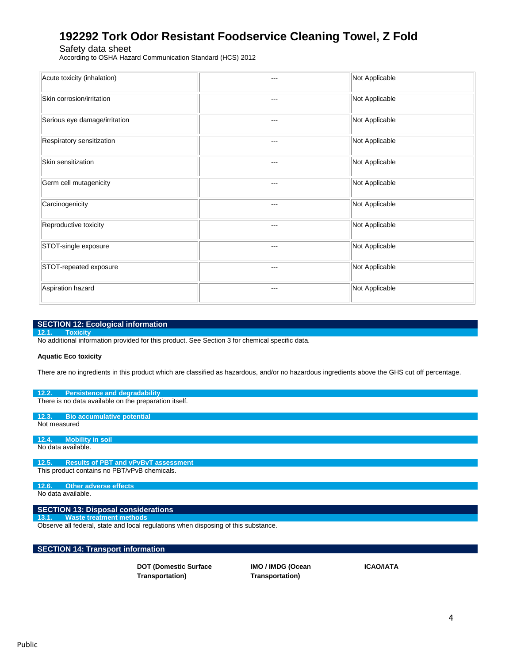Safety data sheet

According to OSHA Hazard Communication Standard (HCS) 2012

| Acute toxicity (inhalation)   | ---     | Not Applicable |
|-------------------------------|---------|----------------|
| Skin corrosion/irritation     | ---     | Not Applicable |
| Serious eye damage/irritation | ---     | Not Applicable |
| Respiratory sensitization     | $--$    | Not Applicable |
| Skin sensitization            | ---     | Not Applicable |
| Germ cell mutagenicity        | $- - -$ | Not Applicable |
| Carcinogenicity               | ---     | Not Applicable |
| Reproductive toxicity         | $---$   | Not Applicable |
| STOT-single exposure          | ---     | Not Applicable |
| STOT-repeated exposure        | ---     | Not Applicable |
| Aspiration hazard             | ---     | Not Applicable |

#### **SECTION 12: Ecological information**

#### **12.1. Toxicity**

No additional information provided for this product. See Section 3 for chemical specific data.

#### **Aquatic Eco toxicity**

There are no ingredients in this product which are classified as hazardous, and/or no hazardous ingredients above the GHS cut off percentage.

#### **12.2. Persistence and degradability**

There is no data available on the preparation itself.

**12.3. Bio accumulative potential** Not measured

#### **12.4. Mobility in soil**

No data available.

### **12.5. Results of PBT and vPvBvT assessment**

This product contains no PBT/vPvB chemicals.

#### **12.6. Other adverse effects** No data available.

#### **SECTION 13: Disposal considerations**

**13.1. Waste treatment methods**

Observe all federal, state and local regulations when disposing of this substance.

#### **SECTION 14: Transport information**

**DOT (Domestic Surface Transportation)**

**IMO / IMDG (Ocean Transportation)**

**ICAO/IATA**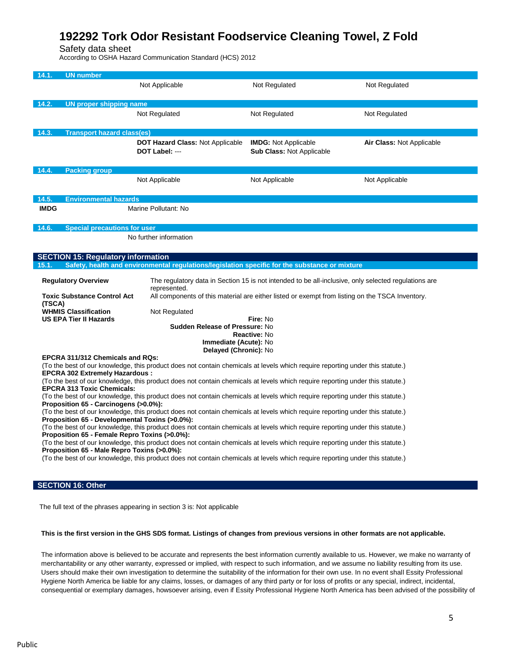Safety data sheet

According to OSHA Hazard Communication Standard (HCS) 2012

| 14.1.                                                                                                                                                                  | <b>UN number</b>                          |                                                                        |                                                                                                                               |                           |
|------------------------------------------------------------------------------------------------------------------------------------------------------------------------|-------------------------------------------|------------------------------------------------------------------------|-------------------------------------------------------------------------------------------------------------------------------|---------------------------|
|                                                                                                                                                                        |                                           | Not Applicable                                                         | Not Regulated                                                                                                                 | Not Regulated             |
|                                                                                                                                                                        |                                           |                                                                        |                                                                                                                               |                           |
|                                                                                                                                                                        |                                           |                                                                        |                                                                                                                               |                           |
| 14.2.                                                                                                                                                                  | <b>UN proper shipping name</b>            |                                                                        |                                                                                                                               |                           |
|                                                                                                                                                                        |                                           | Not Regulated                                                          | Not Regulated                                                                                                                 | Not Regulated             |
|                                                                                                                                                                        |                                           |                                                                        |                                                                                                                               |                           |
| 14.3.                                                                                                                                                                  | <b>Transport hazard class(es)</b>         |                                                                        |                                                                                                                               |                           |
|                                                                                                                                                                        |                                           | DOT Hazard Class: Not Applicable                                       | <b>IMDG:</b> Not Applicable                                                                                                   | Air Class: Not Applicable |
|                                                                                                                                                                        |                                           | DOT Label: ---                                                         | <b>Sub Class: Not Applicable</b>                                                                                              |                           |
|                                                                                                                                                                        |                                           |                                                                        |                                                                                                                               |                           |
| 14.4.                                                                                                                                                                  | <b>Packing group</b>                      |                                                                        |                                                                                                                               |                           |
|                                                                                                                                                                        |                                           | Not Applicable                                                         | Not Applicable                                                                                                                | Not Applicable            |
|                                                                                                                                                                        |                                           |                                                                        |                                                                                                                               |                           |
| 14.5.                                                                                                                                                                  | <b>Environmental hazards</b>              |                                                                        |                                                                                                                               |                           |
| <b>IMDG</b>                                                                                                                                                            |                                           | Marine Pollutant: No                                                   |                                                                                                                               |                           |
|                                                                                                                                                                        |                                           |                                                                        |                                                                                                                               |                           |
| 14.6.                                                                                                                                                                  | <b>Special precautions for user</b>       |                                                                        |                                                                                                                               |                           |
|                                                                                                                                                                        |                                           | No further information                                                 |                                                                                                                               |                           |
|                                                                                                                                                                        |                                           |                                                                        |                                                                                                                               |                           |
|                                                                                                                                                                        |                                           |                                                                        |                                                                                                                               |                           |
|                                                                                                                                                                        | <b>SECTION 15: Regulatory information</b> |                                                                        |                                                                                                                               |                           |
| 15.1.                                                                                                                                                                  |                                           |                                                                        | Safety, health and environmental regulations/legislation specific for the substance or mixture                                |                           |
|                                                                                                                                                                        | <b>Regulatory Overview</b>                |                                                                        | The regulatory data in Section 15 is not intended to be all-inclusive, only selected regulations are                          |                           |
|                                                                                                                                                                        |                                           | represented.                                                           |                                                                                                                               |                           |
|                                                                                                                                                                        | <b>Toxic Substance Control Act</b>        |                                                                        | All components of this material are either listed or exempt from listing on the TSCA Inventory.                               |                           |
| (TSCA)                                                                                                                                                                 |                                           |                                                                        |                                                                                                                               |                           |
|                                                                                                                                                                        | <b>WHMIS Classification</b>               | Not Regulated                                                          |                                                                                                                               |                           |
|                                                                                                                                                                        | US EPA Tier II Hazards                    |                                                                        | Fire: No                                                                                                                      |                           |
|                                                                                                                                                                        |                                           | <b>Sudden Release of Pressure: No</b>                                  | Reactive: No                                                                                                                  |                           |
|                                                                                                                                                                        |                                           | Immediate (Acute): No                                                  |                                                                                                                               |                           |
|                                                                                                                                                                        |                                           | Delayed (Chronic): No                                                  |                                                                                                                               |                           |
|                                                                                                                                                                        | EPCRA 311/312 Chemicals and RQs:          |                                                                        |                                                                                                                               |                           |
|                                                                                                                                                                        |                                           |                                                                        | (To the best of our knowledge, this product does not contain chemicals at levels which require reporting under this statute.) |                           |
|                                                                                                                                                                        | <b>EPCRA 302 Extremely Hazardous:</b>     |                                                                        |                                                                                                                               |                           |
|                                                                                                                                                                        |                                           |                                                                        | (To the best of our knowledge, this product does not contain chemicals at levels which require reporting under this statute.) |                           |
| <b>EPCRA 313 Toxic Chemicals:</b>                                                                                                                                      |                                           |                                                                        |                                                                                                                               |                           |
| (To the best of our knowledge, this product does not contain chemicals at levels which require reporting under this statute.)<br>Proposition 65 - Carcinogens (>0.0%): |                                           |                                                                        |                                                                                                                               |                           |
| (To the best of our knowledge, this product does not contain chemicals at levels which require reporting under this statute.)                                          |                                           |                                                                        |                                                                                                                               |                           |
| Proposition 65 - Developmental Toxins (>0.0%):                                                                                                                         |                                           |                                                                        |                                                                                                                               |                           |
| (To the best of our knowledge, this product does not contain chemicals at levels which require reporting under this statute.)                                          |                                           |                                                                        |                                                                                                                               |                           |
| Proposition 65 - Female Repro Toxins (>0.0%):                                                                                                                          |                                           |                                                                        |                                                                                                                               |                           |
| (To the best of our knowledge, this product does not contain chemicals at levels which require reporting under this statute.)                                          |                                           |                                                                        |                                                                                                                               |                           |
| Proposition 65 - Male Repro Toxins (>0.0%):                                                                                                                            |                                           |                                                                        |                                                                                                                               |                           |
| (To the best of our knowledge, this product does not contain chemicals at levels which require reporting under this statute.)                                          |                                           |                                                                        |                                                                                                                               |                           |
|                                                                                                                                                                        |                                           |                                                                        |                                                                                                                               |                           |
|                                                                                                                                                                        | <b>SECTION 16: Other</b>                  |                                                                        |                                                                                                                               |                           |
|                                                                                                                                                                        |                                           |                                                                        |                                                                                                                               |                           |
|                                                                                                                                                                        |                                           |                                                                        |                                                                                                                               |                           |
|                                                                                                                                                                        |                                           | The full text of the phrases appearing in section 3 is: Not applicable |                                                                                                                               |                           |

#### **This is the first version in the GHS SDS format. Listings of changes from previous versions in other formats are not applicable.**

The information above is believed to be accurate and represents the best information currently available to us. However, we make no warranty of merchantability or any other warranty, expressed or implied, with respect to such information, and we assume no liability resulting from its use. Users should make their own investigation to determine the suitability of the information for their own use. In no event shall Essity Professional Hygiene North America be liable for any claims, losses, or damages of any third party or for loss of profits or any special, indirect, incidental, consequential or exemplary damages, howsoever arising, even if Essity Professional Hygiene North America has been advised of the possibility of